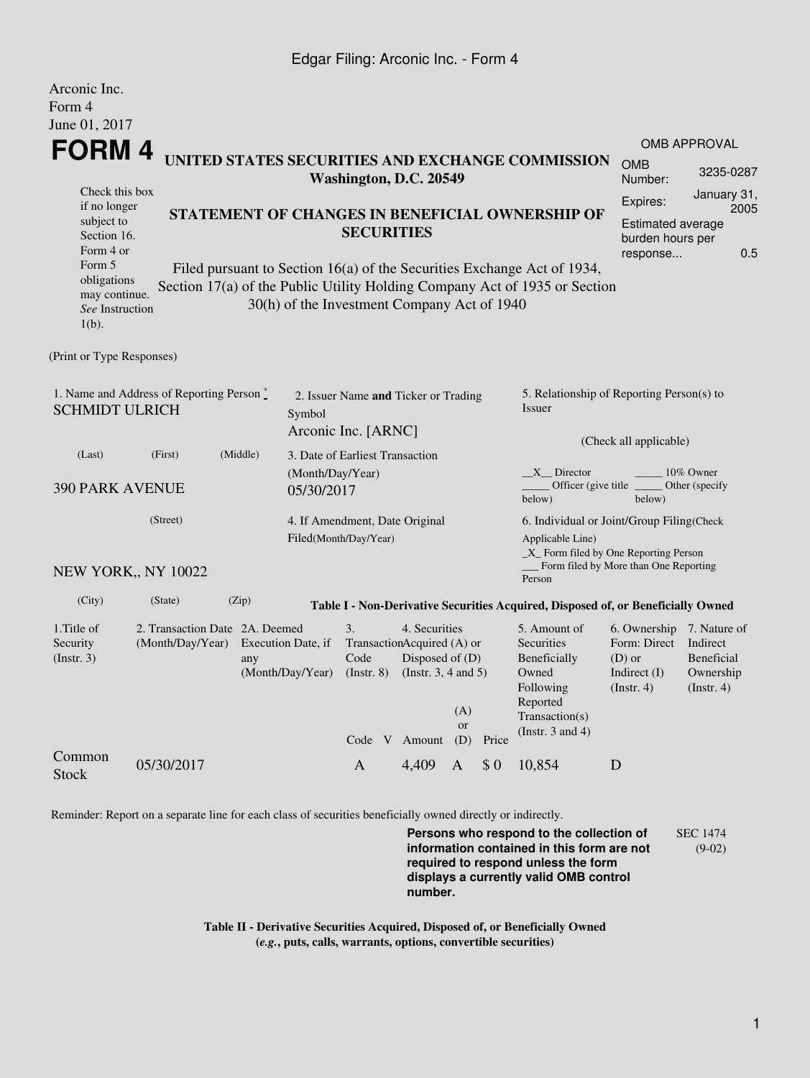## Edgar Filing: Arconic Inc. - Form 4

Arconic Inc.

| <i>L</i> MUULILU LIIU.<br>Form 4<br>June 01, 2017                                                                                                 |                                                                                            |                                               |                                                         |                                                                                                                                                                                                          |                                                                                      |                                                                                 |                                                                                                                                                  |                                                                                |                                                                         |  |  |
|---------------------------------------------------------------------------------------------------------------------------------------------------|--------------------------------------------------------------------------------------------|-----------------------------------------------|---------------------------------------------------------|----------------------------------------------------------------------------------------------------------------------------------------------------------------------------------------------------------|--------------------------------------------------------------------------------------|---------------------------------------------------------------------------------|--------------------------------------------------------------------------------------------------------------------------------------------------|--------------------------------------------------------------------------------|-------------------------------------------------------------------------|--|--|
|                                                                                                                                                   | FORM 4<br>UNITED STATES SECURITIES AND EXCHANGE COMMISSION                                 |                                               |                                                         |                                                                                                                                                                                                          |                                                                                      |                                                                                 |                                                                                                                                                  |                                                                                | <b>OMB APPROVAL</b><br><b>OMB</b><br>3235-0287                          |  |  |
| Check this box<br>if no longer<br>subject to<br>Section 16.<br>Form 4 or<br>Form 5<br>obligations<br>may continue.<br>See Instruction<br>$1(b)$ . | Washington, D.C. 20549<br><b>SECURITIES</b><br>30(h) of the Investment Company Act of 1940 |                                               |                                                         | STATEMENT OF CHANGES IN BENEFICIAL OWNERSHIP OF<br>Filed pursuant to Section 16(a) of the Securities Exchange Act of 1934,<br>Section 17(a) of the Public Utility Holding Company Act of 1935 or Section | Number:<br>Expires:                                                                  | January 31,<br>2005<br>Estimated average<br>burden hours per<br>0.5<br>response |                                                                                                                                                  |                                                                                |                                                                         |  |  |
| (Print or Type Responses)                                                                                                                         |                                                                                            |                                               |                                                         |                                                                                                                                                                                                          |                                                                                      |                                                                                 |                                                                                                                                                  |                                                                                |                                                                         |  |  |
| 1. Name and Address of Reporting Person *<br><b>SCHMIDT ULRICH</b>                                                                                | 2. Issuer Name and Ticker or Trading<br>Symbol<br>Arconic Inc. [ARNC]                      |                                               |                                                         |                                                                                                                                                                                                          | 5. Relationship of Reporting Person(s) to<br><b>Issuer</b><br>(Check all applicable) |                                                                                 |                                                                                                                                                  |                                                                                |                                                                         |  |  |
| (Middle)<br>(Last)<br>(First)<br><b>390 PARK AVENUE</b><br>05/30/2017                                                                             |                                                                                            |                                               | 3. Date of Earliest Transaction<br>(Month/Day/Year)     |                                                                                                                                                                                                          |                                                                                      |                                                                                 | X Director<br>10% Owner<br>Officer (give title)<br>Other (specify<br>below)<br>below)                                                            |                                                                                |                                                                         |  |  |
| (Street)                                                                                                                                          |                                                                                            |                                               | 4. If Amendment, Date Original<br>Filed(Month/Day/Year) |                                                                                                                                                                                                          |                                                                                      |                                                                                 | 6. Individual or Joint/Group Filing(Check<br>Applicable Line)<br>_X_ Form filed by One Reporting Person<br>Form filed by More than One Reporting |                                                                                |                                                                         |  |  |
| NEW YORK,, NY 10022                                                                                                                               |                                                                                            |                                               |                                                         |                                                                                                                                                                                                          |                                                                                      |                                                                                 | Person                                                                                                                                           |                                                                                |                                                                         |  |  |
| (City)                                                                                                                                            | (State)                                                                                    | (Zip)                                         |                                                         |                                                                                                                                                                                                          |                                                                                      |                                                                                 | Table I - Non-Derivative Securities Acquired, Disposed of, or Beneficially Owned                                                                 |                                                                                |                                                                         |  |  |
| 1. Title of<br>Security<br>(Insert. 3)                                                                                                            | 2. Transaction Date 2A. Deemed<br>(Month/Day/Year)                                         | Execution Date, if<br>any<br>(Month/Day/Year) | 3.<br>Code<br>(Insert, 8)                               | 4. Securities<br>TransactionAcquired (A) or<br>Disposed of (D)<br>(Instr. $3, 4$ and $5$ )<br>Code V Amount                                                                                              | (A)<br>or<br>(D)                                                                     | Price                                                                           | 5. Amount of<br>Securities<br>Beneficially<br>Owned<br>Following<br>Reported<br>Transaction(s)<br>(Instr. $3$ and $4$ )                          | 6. Ownership<br>Form: Direct<br>$(D)$ or<br>Indirect $(I)$<br>$($ Instr. 4 $)$ | 7. Nature of<br>Indirect<br>Beneficial<br>Ownership<br>$($ Instr. 4 $)$ |  |  |
| Common<br><b>Stock</b>                                                                                                                            | 05/30/2017                                                                                 |                                               | A                                                       | 4,409                                                                                                                                                                                                    | А                                                                                    | \$0                                                                             | 10,854                                                                                                                                           | D                                                                              |                                                                         |  |  |

Reminder: Report on a separate line for each class of securities beneficially owned directly or indirectly.

**Persons who respond to the collection of information contained in this form are not required to respond unless the form displays a currently valid OMB control number.** SEC 1474 (9-02)

**Table II - Derivative Securities Acquired, Disposed of, or Beneficially Owned (***e.g.***, puts, calls, warrants, options, convertible securities)**